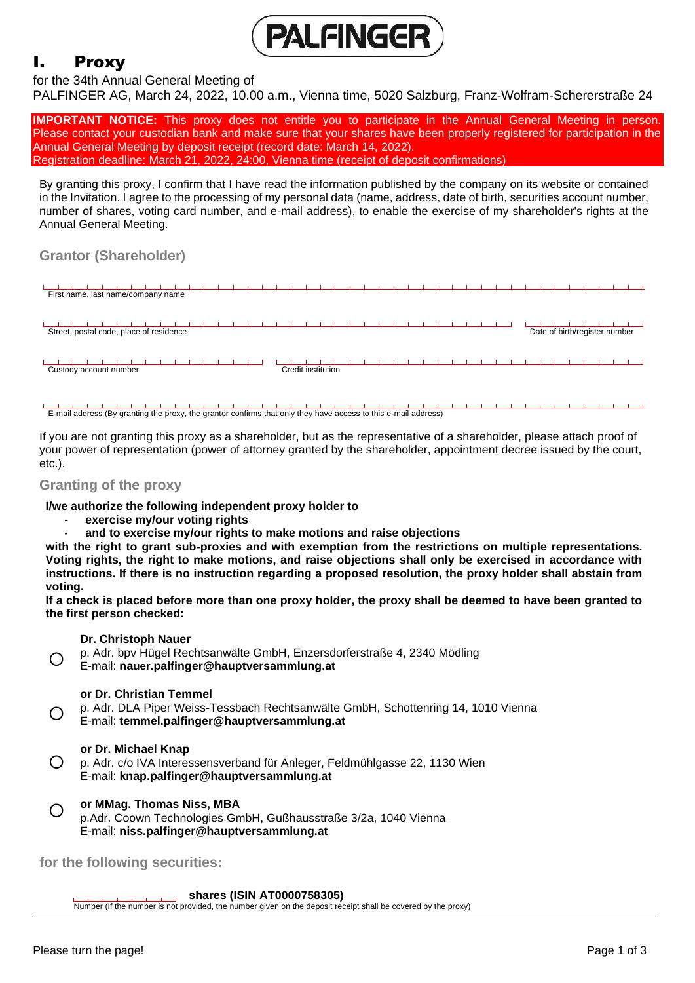

# I. Proxy

# for the 34th Annual General Meeting of

PALFINGER AG, March 24, 2022, 10.00 a.m., Vienna time, 5020 Salzburg, Franz-Wolfram-Schererstraße 24

**IMPORTANT NOTICE:** This proxy does not entitle you to participate in the Annual General Meeting in person. Please contact your custodian bank and make sure that your shares have been properly registered for participation in the Annual General Meeting by deposit receipt (record date: March 14, 2022). Registration deadline: March 21, 2022, 24:00, Vienna time (receipt of deposit confirmations)

By granting this proxy, I confirm that I have read the information published by the company on its website or contained in the Invitation. I agree to the processing of my personal data (name, address, date of birth, securities account number, number of shares, voting card number, and e-mail address), to enable the exercise of my shareholder's rights at the Annual General Meeting.

# **Grantor (Shareholder)**



E-mail address (By granting the proxy, the grantor confirms that only they have access to this e-mail address)

If you are not granting this proxy as a shareholder, but as the representative of a shareholder, please attach proof of your power of representation (power of attorney granted by the shareholder, appointment decree issued by the court, etc.).

# **Granting of the proxy**

**I/we authorize the following independent proxy holder to**

- **exercise my/our voting rights**
- **and to exercise my/our rights to make motions and raise objections**

**with the right to grant sub-proxies and with exemption from the restrictions on multiple representations. Voting rights, the right to make motions, and raise objections shall only be exercised in accordance with instructions. If there is no instruction regarding a proposed resolution, the proxy holder shall abstain from voting.** 

**If a check is placed before more than one proxy holder, the proxy shall be deemed to have been granted to the first person checked:**

## **Dr. Christoph Nauer**

 $\bigcap$ p. Adr. bpv Hügel Rechtsanwälte GmbH, Enzersdorferstraße 4, 2340 Mödling E-mail: **nauer.palfinger@hauptversammlung.at**

# **or Dr. Christian Temmel**

 $\bigcirc$ p. Adr. DLA Piper Weiss-Tessbach Rechtsanwälte GmbH, Schottenring 14, 1010 Vienna E-mail: **temmel.palfinger@hauptversammlung.at**

## **or Dr. Michael Knap**

 $\bigcirc$ p. Adr. c/o IVA Interessensverband für Anleger, Feldmühlgasse 22, 1130 Wien E-mail: **knap.palfinger@hauptversammlung.at** 

#### $\bigcirc$ **or MMag. Thomas Niss, MBA**

p.Adr. Coown Technologies GmbH, Gußhausstraße 3/2a, 1040 Vienna E-mail: **niss.palfinger@hauptversammlung.at**

**for the following securities:**

## **shares (ISIN AT0000758305)**

Number (If the number is not provided, the number given on the deposit receipt shall be covered by the proxy)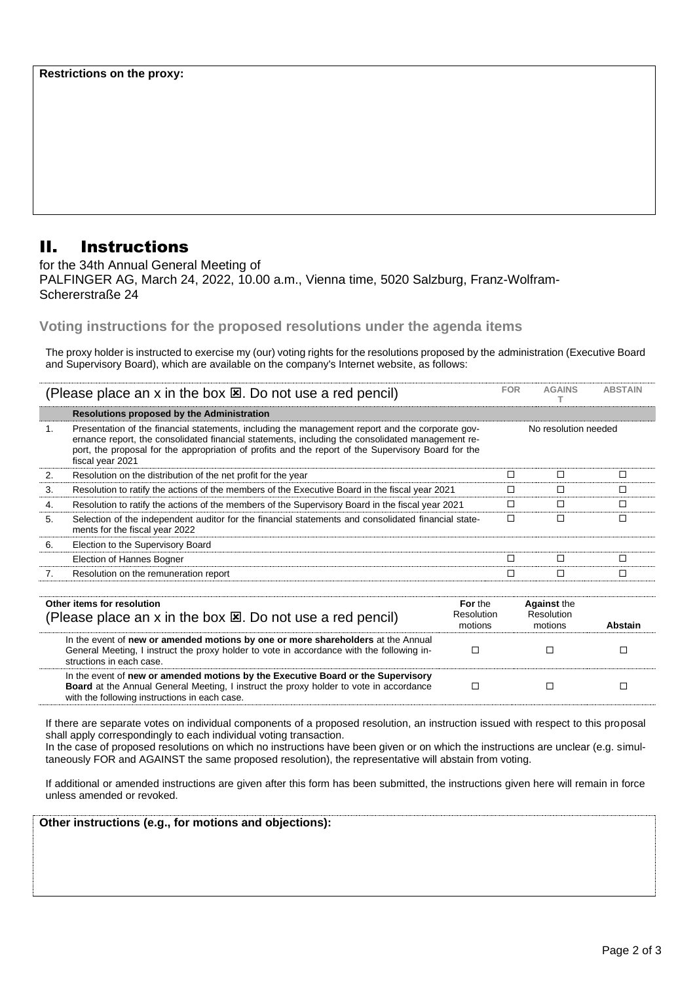# II. Instructions

for the 34th Annual General Meeting of PALFINGER AG, March 24, 2022, 10.00 a.m., Vienna time, 5020 Salzburg, Franz-Wolfram-Schererstraße 24

**Voting instructions for the proposed resolutions under the agenda items** 

The proxy holder is instructed to exercise my (our) voting rights for the resolutions proposed by the administration (Executive Board and Supervisory Board), which are available on the company's Internet website, as follows:

| (Please place an x in the box $\boxtimes$ . Do not use a red pencil)                               |                                                                                                                                                                                                                                                                                                                                 | <b>FOR</b>                              | <b>AGAINS</b>                               | <b>ABSTAIN</b> |
|----------------------------------------------------------------------------------------------------|---------------------------------------------------------------------------------------------------------------------------------------------------------------------------------------------------------------------------------------------------------------------------------------------------------------------------------|-----------------------------------------|---------------------------------------------|----------------|
|                                                                                                    | <b>Resolutions proposed by the Administration</b>                                                                                                                                                                                                                                                                               |                                         |                                             |                |
| 1.                                                                                                 | Presentation of the financial statements, including the management report and the corporate gov-<br>ernance report, the consolidated financial statements, including the consolidated management re-<br>port, the proposal for the appropriation of profits and the report of the Supervisory Board for the<br>fiscal year 2021 |                                         | No resolution needed                        |                |
| 2.                                                                                                 | Resolution on the distribution of the net profit for the year                                                                                                                                                                                                                                                                   | □                                       | □                                           | □              |
| 3.                                                                                                 | Resolution to ratify the actions of the members of the Executive Board in the fiscal year 2021                                                                                                                                                                                                                                  | □                                       | □                                           | □              |
| 4.                                                                                                 | Resolution to ratify the actions of the members of the Supervisory Board in the fiscal year 2021                                                                                                                                                                                                                                | П                                       | П                                           | П              |
| 5.                                                                                                 | Selection of the independent auditor for the financial statements and consolidated financial state-<br>ments for the fiscal year 2022                                                                                                                                                                                           | П                                       | П                                           | П              |
| 6.                                                                                                 | Election to the Supervisory Board                                                                                                                                                                                                                                                                                               |                                         |                                             |                |
|                                                                                                    | Election of Hannes Bogner                                                                                                                                                                                                                                                                                                       | П                                       | П                                           | П              |
| 7.                                                                                                 | Resolution on the remuneration report                                                                                                                                                                                                                                                                                           | П                                       | П                                           | П              |
|                                                                                                    |                                                                                                                                                                                                                                                                                                                                 |                                         |                                             |                |
| Other items for resolution<br>(Please place an x in the box $\boxtimes$ . Do not use a red pencil) |                                                                                                                                                                                                                                                                                                                                 | For the<br><b>Resolution</b><br>motions | <b>Against the</b><br>Resolution<br>motions | <b>Abstain</b> |
|                                                                                                    | In the event of new or amended motions by one or more shareholders at the Annual<br>General Meeting, I instruct the proxy holder to vote in accordance with the following in-<br>etructions in oach case                                                                                                                        | □                                       | П                                           | П              |

tructions in each c In the event of **new or amended motions by the Executive Board or the Supervisory Board** at the Annual General Meeting, I instruct the proxy holder to vote in accordance with the following instructions in each case.  $\begin{array}{ccccccccccccccccc} \Box & \hspace{1.8cm} & \Box & \hspace{1.8cm} & \Box & \hspace{1.8cm} & \Box \hspace{1.8cm} & \Box & \hspace{1.8cm} & \Box \hspace{1.8cm} & \Box & \hspace{1.8cm} & \Box \hspace{1.8cm} & \Box & \hspace{1.8cm} & \Box \hspace{1.8cm} & \Box \hspace{1.8cm} & \Box & \hspace{1.8cm} & \Box \hspace{1.8cm} & \Box \hspace{1.8cm} & \Box \hspace{1.8cm} & \Box \hspace{1.8cm} & \Box \hspace{1.8cm$ 

If there are separate votes on individual components of a proposed resolution, an instruction issued with respect to this proposal shall apply correspondingly to each individual voting transaction.

In the case of proposed resolutions on which no instructions have been given or on which the instructions are unclear (e.g. simultaneously FOR and AGAINST the same proposed resolution), the representative will abstain from voting.

If additional or amended instructions are given after this form has been submitted, the instructions given here will remain in force unless amended or revoked.

| Other instructions (e.g., for motions and objections): |  |
|--------------------------------------------------------|--|
|                                                        |  |
|                                                        |  |